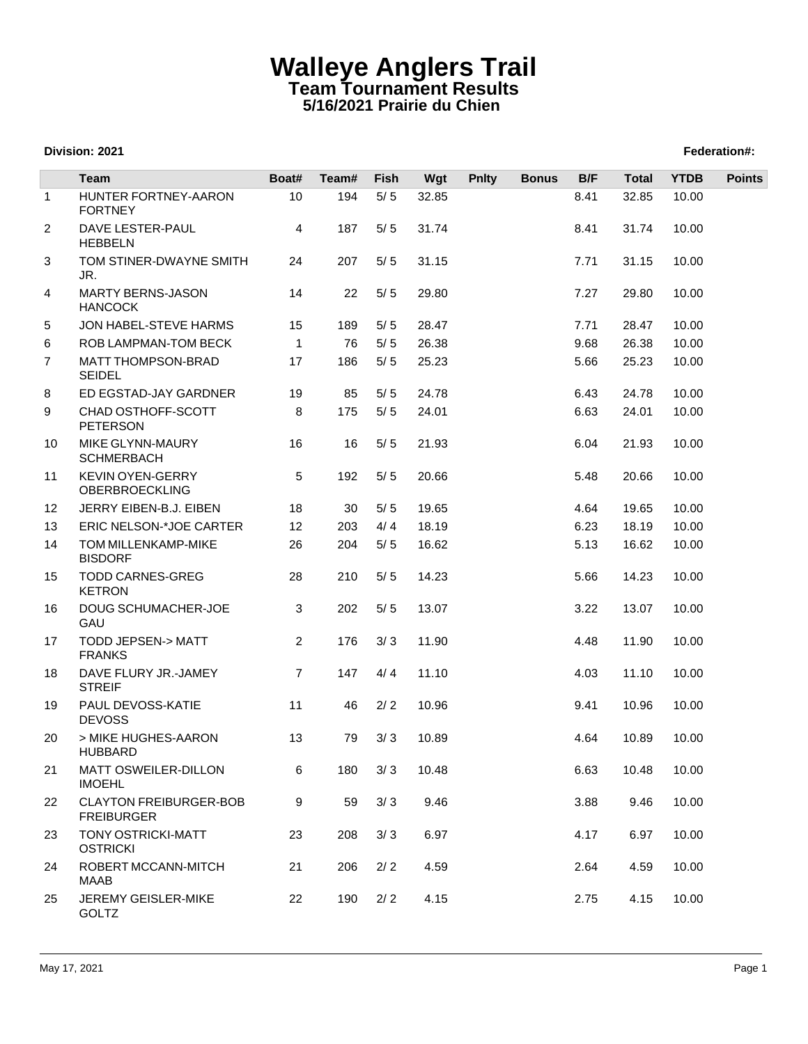## **Walleye Anglers Trail Team Tournament Results 5/16/2021 Prairie du Chien**

## **Division: 2021 Federation#:**

|              | Team                                               | Boat#          | Team# | <b>Fish</b> | Wgt   | <b>Pnlty</b> | <b>Bonus</b> | B/F  | <b>Total</b> | <b>YTDB</b> | <b>Points</b> |
|--------------|----------------------------------------------------|----------------|-------|-------------|-------|--------------|--------------|------|--------------|-------------|---------------|
| $\mathbf{1}$ | HUNTER FORTNEY-AARON<br><b>FORTNEY</b>             | 10             | 194   | $5/5$       | 32.85 |              |              | 8.41 | 32.85        | 10.00       |               |
| 2            | DAVE LESTER-PAUL<br><b>HEBBELN</b>                 | 4              | 187   | $5/5$       | 31.74 |              |              | 8.41 | 31.74        | 10.00       |               |
| 3            | TOM STINER-DWAYNE SMITH<br>JR.                     | 24             | 207   | $5/5$       | 31.15 |              |              | 7.71 | 31.15        | 10.00       |               |
| 4            | <b>MARTY BERNS-JASON</b><br><b>HANCOCK</b>         | 14             | 22    | $5/5$       | 29.80 |              |              | 7.27 | 29.80        | 10.00       |               |
| 5            | JON HABEL-STEVE HARMS                              | 15             | 189   | $5/5$       | 28.47 |              |              | 7.71 | 28.47        | 10.00       |               |
| 6            | ROB LAMPMAN-TOM BECK                               | $\mathbf{1}$   | 76    | $5/5$       | 26.38 |              |              | 9.68 | 26.38        | 10.00       |               |
| 7            | MATT THOMPSON-BRAD<br><b>SEIDEL</b>                | 17             | 186   | $5/5$       | 25.23 |              |              | 5.66 | 25.23        | 10.00       |               |
| 8            | ED EGSTAD-JAY GARDNER                              | 19             | 85    | 5/5         | 24.78 |              |              | 6.43 | 24.78        | 10.00       |               |
| 9            | CHAD OSTHOFF-SCOTT<br><b>PETERSON</b>              | 8              | 175   | $5/5$       | 24.01 |              |              | 6.63 | 24.01        | 10.00       |               |
| 10           | MIKE GLYNN-MAURY<br><b>SCHMERBACH</b>              | 16             | 16    | $5/5$       | 21.93 |              |              | 6.04 | 21.93        | 10.00       |               |
| 11           | <b>KEVIN OYEN-GERRY</b><br><b>OBERBROECKLING</b>   | 5              | 192   | $5/5$       | 20.66 |              |              | 5.48 | 20.66        | 10.00       |               |
| 12           | JERRY EIBEN-B.J. EIBEN                             | 18             | 30    | $5/5$       | 19.65 |              |              | 4.64 | 19.65        | 10.00       |               |
| 13           | ERIC NELSON-*JOE CARTER                            | 12             | 203   | 4/4         | 18.19 |              |              | 6.23 | 18.19        | 10.00       |               |
| 14           | TOM MILLENKAMP-MIKE<br><b>BISDORF</b>              | 26             | 204   | $5/5$       | 16.62 |              |              | 5.13 | 16.62        | 10.00       |               |
| 15           | <b>TODD CARNES-GREG</b><br><b>KETRON</b>           | 28             | 210   | $5/5$       | 14.23 |              |              | 5.66 | 14.23        | 10.00       |               |
| 16           | DOUG SCHUMACHER-JOE<br>GAU                         | 3              | 202   | $5/5$       | 13.07 |              |              | 3.22 | 13.07        | 10.00       |               |
| 17           | TODD JEPSEN-> MATT<br><b>FRANKS</b>                | $\overline{2}$ | 176   | 3/3         | 11.90 |              |              | 4.48 | 11.90        | 10.00       |               |
| 18           | DAVE FLURY JR.-JAMEY<br><b>STREIF</b>              | $\overline{7}$ | 147   | 4/4         | 11.10 |              |              | 4.03 | 11.10        | 10.00       |               |
| 19           | PAUL DEVOSS-KATIE<br><b>DEVOSS</b>                 | 11             | 46    | 2/2         | 10.96 |              |              | 9.41 | 10.96        | 10.00       |               |
| 20           | > MIKE HUGHES-AARON<br><b>HUBBARD</b>              | 13             | 79    | 3/3         | 10.89 |              |              | 4.64 | 10.89        | 10.00       |               |
| 21           | MATT OSWEILER-DILLON<br><b>IMOEHL</b>              | 6              | 180   | 3/3         | 10.48 |              |              | 6.63 | 10.48        | 10.00       |               |
| 22           | <b>CLAYTON FREIBURGER-BOB</b><br><b>FREIBURGER</b> | 9              | 59    | 3/3         | 9.46  |              |              | 3.88 | 9.46         | 10.00       |               |
| 23           | <b>TONY OSTRICKI-MATT</b><br><b>OSTRICKI</b>       | 23             | 208   | 3/3         | 6.97  |              |              | 4.17 | 6.97         | 10.00       |               |
| 24           | ROBERT MCCANN-MITCH<br>MAAB                        | 21             | 206   | 2/2         | 4.59  |              |              | 2.64 | 4.59         | 10.00       |               |
| 25           | JEREMY GEISLER-MIKE<br>GOLTZ                       | 22             | 190   | 2/2         | 4.15  |              |              | 2.75 | 4.15         | 10.00       |               |